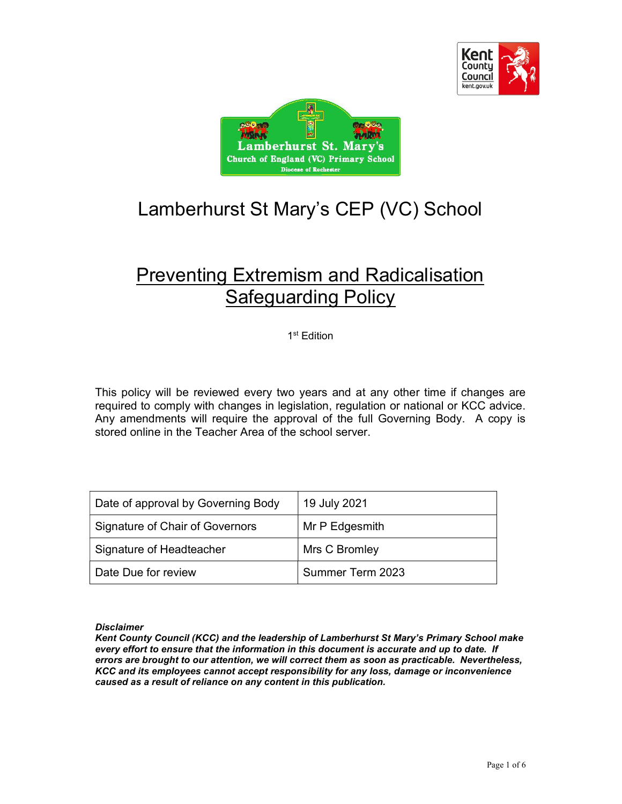



# Lamberhurst St Mary's CEP (VC) School

## Preventing Extremism and Radicalisation Safeguarding Policy

1 st Edition

This policy will be reviewed every two years and at any other time if changes are required to comply with changes in legislation, regulation or national or KCC advice. Any amendments will require the approval of the full Governing Body. A copy is stored online in the Teacher Area of the school server.

| Date of approval by Governing Body | 19 July 2021     |
|------------------------------------|------------------|
| Signature of Chair of Governors    | Mr P Edgesmith   |
| Signature of Headteacher           | Mrs C Bromley    |
| l Date Due for review              | Summer Term 2023 |

#### **Disclaimer**

Kent County Council (KCC) and the leadership of Lamberhurst St Mary's Primary School make every effort to ensure that the information in this document is accurate and up to date. If errors are brought to our attention, we will correct them as soon as practicable. Nevertheless, KCC and its employees cannot accept responsibility for any loss, damage or inconvenience caused as a result of reliance on any content in this publication.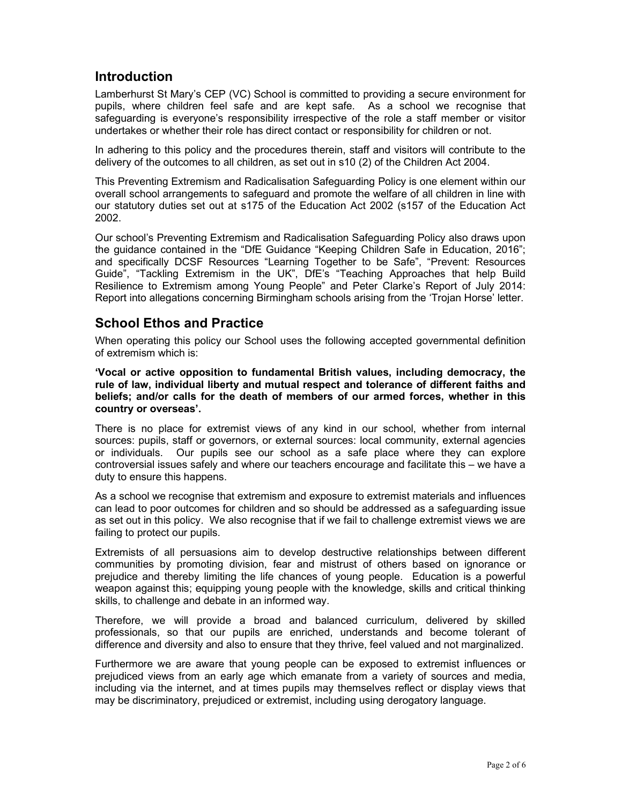#### Introduction

Lamberhurst St Mary's CEP (VC) School is committed to providing a secure environment for pupils, where children feel safe and are kept safe. As a school we recognise that safeguarding is everyone's responsibility irrespective of the role a staff member or visitor undertakes or whether their role has direct contact or responsibility for children or not.

In adhering to this policy and the procedures therein, staff and visitors will contribute to the delivery of the outcomes to all children, as set out in s10 (2) of the Children Act 2004.

This Preventing Extremism and Radicalisation Safeguarding Policy is one element within our overall school arrangements to safeguard and promote the welfare of all children in line with our statutory duties set out at s175 of the Education Act 2002 (s157 of the Education Act 2002.

Our school's Preventing Extremism and Radicalisation Safeguarding Policy also draws upon the guidance contained in the "DfE Guidance "Keeping Children Safe in Education, 2016"; and specifically DCSF Resources "Learning Together to be Safe", "Prevent: Resources Guide", "Tackling Extremism in the UK", DfE's "Teaching Approaches that help Build Resilience to Extremism among Young People" and Peter Clarke's Report of July 2014: Report into allegations concerning Birmingham schools arising from the 'Trojan Horse' letter.

#### School Ethos and Practice

When operating this policy our School uses the following accepted governmental definition of extremism which is:

'Vocal or active opposition to fundamental British values, including democracy, the rule of law, individual liberty and mutual respect and tolerance of different faiths and beliefs; and/or calls for the death of members of our armed forces, whether in this country or overseas'.

There is no place for extremist views of any kind in our school, whether from internal sources: pupils, staff or governors, or external sources: local community, external agencies or individuals. Our pupils see our school as a safe place where they can explore controversial issues safely and where our teachers encourage and facilitate this – we have a duty to ensure this happens.

As a school we recognise that extremism and exposure to extremist materials and influences can lead to poor outcomes for children and so should be addressed as a safeguarding issue as set out in this policy. We also recognise that if we fail to challenge extremist views we are failing to protect our pupils.

Extremists of all persuasions aim to develop destructive relationships between different communities by promoting division, fear and mistrust of others based on ignorance or prejudice and thereby limiting the life chances of young people. Education is a powerful weapon against this; equipping young people with the knowledge, skills and critical thinking skills, to challenge and debate in an informed way.

Therefore, we will provide a broad and balanced curriculum, delivered by skilled professionals, so that our pupils are enriched, understands and become tolerant of difference and diversity and also to ensure that they thrive, feel valued and not marginalized.

Furthermore we are aware that young people can be exposed to extremist influences or prejudiced views from an early age which emanate from a variety of sources and media, including via the internet, and at times pupils may themselves reflect or display views that may be discriminatory, prejudiced or extremist, including using derogatory language.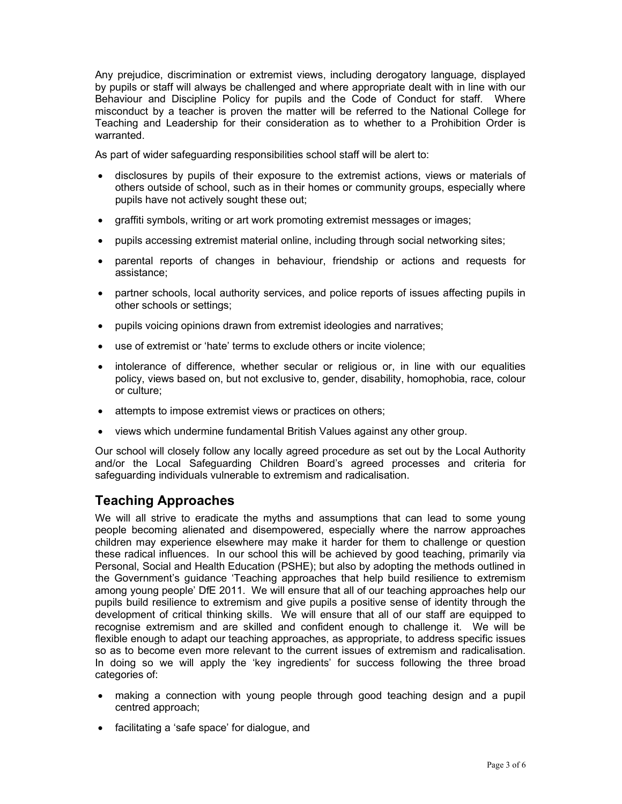Any prejudice, discrimination or extremist views, including derogatory language, displayed by pupils or staff will always be challenged and where appropriate dealt with in line with our Behaviour and Discipline Policy for pupils and the Code of Conduct for staff. Where misconduct by a teacher is proven the matter will be referred to the National College for Teaching and Leadership for their consideration as to whether to a Prohibition Order is warranted.

As part of wider safeguarding responsibilities school staff will be alert to:

- disclosures by pupils of their exposure to the extremist actions, views or materials of others outside of school, such as in their homes or community groups, especially where pupils have not actively sought these out;
- graffiti symbols, writing or art work promoting extremist messages or images;
- pupils accessing extremist material online, including through social networking sites;
- parental reports of changes in behaviour, friendship or actions and requests for assistance;
- partner schools, local authority services, and police reports of issues affecting pupils in other schools or settings;
- pupils voicing opinions drawn from extremist ideologies and narratives;
- use of extremist or 'hate' terms to exclude others or incite violence;
- intolerance of difference, whether secular or religious or, in line with our equalities policy, views based on, but not exclusive to, gender, disability, homophobia, race, colour or culture;
- attempts to impose extremist views or practices on others;
- views which undermine fundamental British Values against any other group.

Our school will closely follow any locally agreed procedure as set out by the Local Authority and/or the Local Safeguarding Children Board's agreed processes and criteria for safeguarding individuals vulnerable to extremism and radicalisation.

#### Teaching Approaches

We will all strive to eradicate the myths and assumptions that can lead to some young people becoming alienated and disempowered, especially where the narrow approaches children may experience elsewhere may make it harder for them to challenge or question these radical influences. In our school this will be achieved by good teaching, primarily via Personal, Social and Health Education (PSHE); but also by adopting the methods outlined in the Government's guidance 'Teaching approaches that help build resilience to extremism among young people' DfE 2011. We will ensure that all of our teaching approaches help our pupils build resilience to extremism and give pupils a positive sense of identity through the development of critical thinking skills. We will ensure that all of our staff are equipped to recognise extremism and are skilled and confident enough to challenge it. We will be flexible enough to adapt our teaching approaches, as appropriate, to address specific issues so as to become even more relevant to the current issues of extremism and radicalisation. In doing so we will apply the 'key ingredients' for success following the three broad categories of:

- making a connection with young people through good teaching design and a pupil centred approach;
- facilitating a 'safe space' for dialogue, and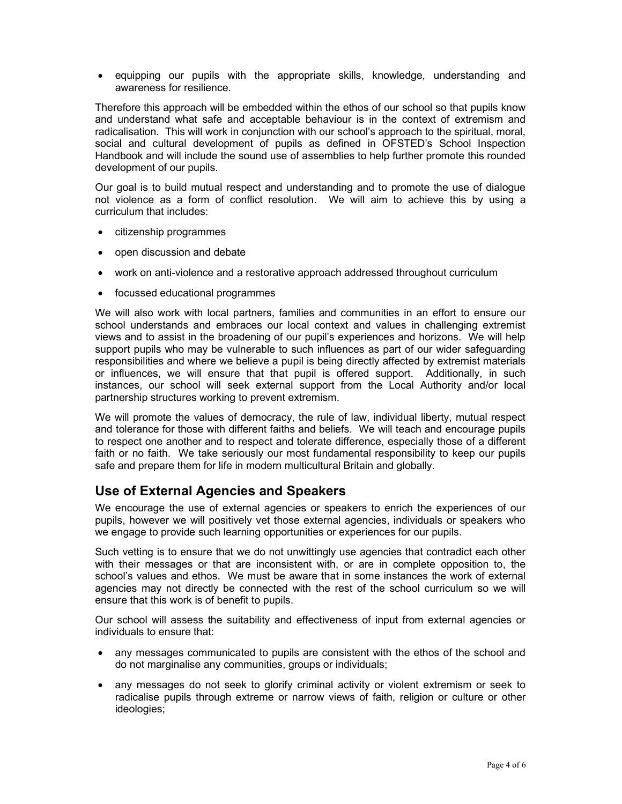equipping our pupils with the appropriate skills, knowledge, understanding and awareness for resilience.

Therefore this approach will be embedded within the ethos of our school so that pupils know and understand what safe and acceptable behaviour is in the context of extremism and radicalisation. This will work in conjunction with our school's approach to the spiritual, moral, social and cultural development of pupils as defined in OFSTED's School Inspection Handbook and will include the sound use of assemblies to help further promote this rounded development of our pupils.

Our goal is to build mutual respect and understanding and to promote the use of dialogue not violence as a form of conflict resolution. We will aim to achieve this by using a curriculum that includes:

- citizenship programmes
- open discussion and debate
- work on anti-violence and a restorative approach addressed throughout curriculum
- focussed educational programmes

We will also work with local partners, families and communities in an effort to ensure our school understands and embraces our local context and values in challenging extremist views and to assist in the broadening of our pupil's experiences and horizons. We will help support pupils who may be vulnerable to such influences as part of our wider safeguarding responsibilities and where we believe a pupil is being directly affected by extremist materials or influences, we will ensure that that pupil is offered support. Additionally, in such instances, our school will seek external support from the Local Authority and/or local partnership structures working to prevent extremism.

We will promote the values of democracy, the rule of law, individual liberty, mutual respect and tolerance for those with different faiths and beliefs. We will teach and encourage pupils to respect one another and to respect and tolerate difference, especially those of a different faith or no faith. We take seriously our most fundamental responsibility to keep our pupils safe and prepare them for life in modern multicultural Britain and globally.

#### Use of External Agencies and Speakers

We encourage the use of external agencies or speakers to enrich the experiences of our pupils, however we will positively vet those external agencies, individuals or speakers who we engage to provide such learning opportunities or experiences for our pupils.

Such vetting is to ensure that we do not unwittingly use agencies that contradict each other with their messages or that are inconsistent with, or are in complete opposition to, the school's values and ethos. We must be aware that in some instances the work of external agencies may not directly be connected with the rest of the school curriculum so we will ensure that this work is of benefit to pupils.

Our school will assess the suitability and effectiveness of input from external agencies or individuals to ensure that:

- any messages communicated to pupils are consistent with the ethos of the school and do not marginalise any communities, groups or individuals;
- any messages do not seek to glorify criminal activity or violent extremism or seek to radicalise pupils through extreme or narrow views of faith, religion or culture or other ideologies;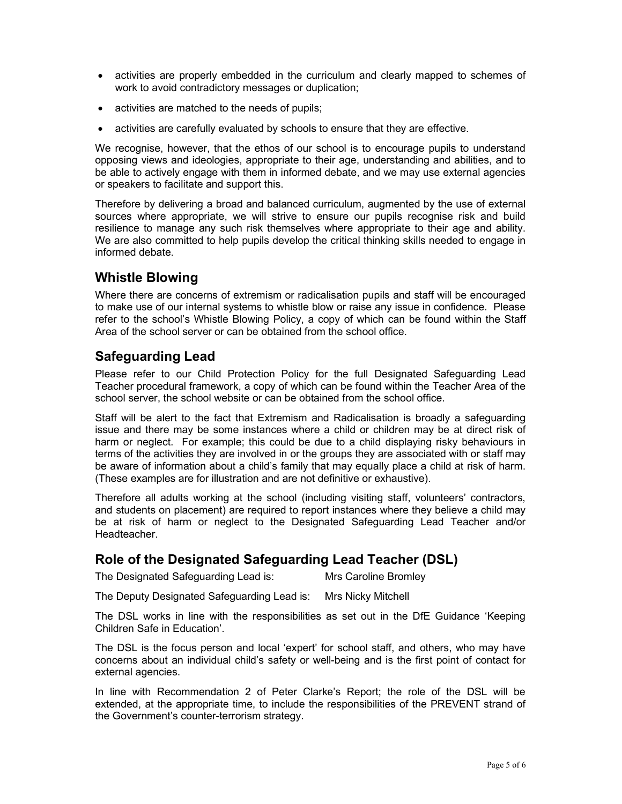- activities are properly embedded in the curriculum and clearly mapped to schemes of work to avoid contradictory messages or duplication;
- activities are matched to the needs of pupils;
- activities are carefully evaluated by schools to ensure that they are effective.

We recognise, however, that the ethos of our school is to encourage pupils to understand opposing views and ideologies, appropriate to their age, understanding and abilities, and to be able to actively engage with them in informed debate, and we may use external agencies or speakers to facilitate and support this.

Therefore by delivering a broad and balanced curriculum, augmented by the use of external sources where appropriate, we will strive to ensure our pupils recognise risk and build resilience to manage any such risk themselves where appropriate to their age and ability. We are also committed to help pupils develop the critical thinking skills needed to engage in informed debate.

#### Whistle Blowing

Where there are concerns of extremism or radicalisation pupils and staff will be encouraged to make use of our internal systems to whistle blow or raise any issue in confidence. Please refer to the school's Whistle Blowing Policy, a copy of which can be found within the Staff Area of the school server or can be obtained from the school office.

#### Safeguarding Lead

Please refer to our Child Protection Policy for the full Designated Safeguarding Lead Teacher procedural framework, a copy of which can be found within the Teacher Area of the school server, the school website or can be obtained from the school office.

Staff will be alert to the fact that Extremism and Radicalisation is broadly a safeguarding issue and there may be some instances where a child or children may be at direct risk of harm or neglect. For example; this could be due to a child displaying risky behaviours in terms of the activities they are involved in or the groups they are associated with or staff may be aware of information about a child's family that may equally place a child at risk of harm. (These examples are for illustration and are not definitive or exhaustive).

Therefore all adults working at the school (including visiting staff, volunteers' contractors, and students on placement) are required to report instances where they believe a child may be at risk of harm or neglect to the Designated Safeguarding Lead Teacher and/or Headteacher.

#### Role of the Designated Safeguarding Lead Teacher (DSL)

The Designated Safeguarding Lead is: Mrs Caroline Bromley

The Deputy Designated Safeguarding Lead is: Mrs Nicky Mitchell

The DSL works in line with the responsibilities as set out in the DfE Guidance 'Keeping Children Safe in Education'.

The DSL is the focus person and local 'expert' for school staff, and others, who may have concerns about an individual child's safety or well-being and is the first point of contact for external agencies.

In line with Recommendation 2 of Peter Clarke's Report; the role of the DSL will be extended, at the appropriate time, to include the responsibilities of the PREVENT strand of the Government's counter-terrorism strategy.